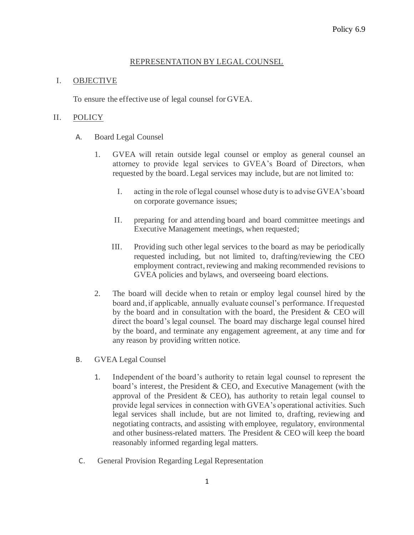## REPRESENTATION BY LEGAL COUNSEL

## I. OBJECTIVE

To ensure the effective use of legal counsel for GVEA.

## II. POLICY

- A. Board Legal Counsel
	- 1. GVEA will retain outside legal counsel or employ as general counsel an attorney to provide legal services to GVEA's Board of Directors, when requested by the board. Legal services may include, but are not limited to:
		- I. acting in the role of legal counsel whose duty is to advise GVEA's board on corporate governance issues;
		- II. preparing for and attending board and board committee meetings and Executive Management meetings, when requested;
		- III. Providing such other legal services to the board as may be periodically requested including, but not limited to, drafting/reviewing the CEO employment contract, reviewing and making recommended revisions to GVEA policies and bylaws, and overseeing board elections.
	- 2. The board will decide when to retain or employ legal counsel hired by the board and, if applicable, annually evaluate counsel's performance. If requested by the board and in consultation with the board, the President & CEO will direct the board's legal counsel. The board may discharge legal counsel hired by the board, and terminate any engagement agreement, at any time and for any reason by providing written notice.
- B. GVEA Legal Counsel
	- 1. Independent of the board's authority to retain legal counsel to represent the board's interest, the President & CEO, and Executive Management (with the approval of the President  $& CEO$ , has authority to retain legal counsel to provide legal services in connection with GVEA's operational activities. Such legal services shall include, but are not limited to, drafting, reviewing and negotiating contracts, and assisting with employee, regulatory, environmental and other business-related matters. The President & CEO will keep the board reasonably informed regarding legal matters.
- C. General Provision Regarding Legal Representation